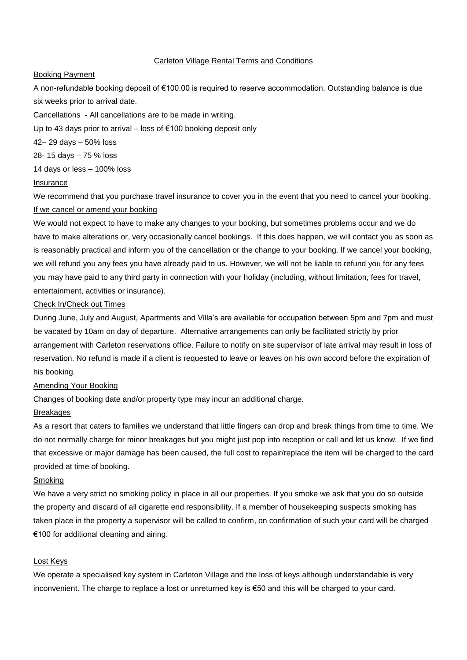# Carleton Village Rental Terms and Conditions

## Booking Payment

A non-refundable booking deposit of €100.00 is required to reserve accommodation. Outstanding balance is due six weeks prior to arrival date.

## Cancellations - All cancellations are to be made in writing.

Up to 43 days prior to arrival – loss of €100 booking deposit only

42– 29 days – 50% loss

28- 15 days – 75 % loss

14 days or less – 100% loss

## Insurance

We recommend that you purchase travel insurance to cover you in the event that you need to cancel your booking. If we cancel or amend your booking

We would not expect to have to make any changes to your booking, but sometimes problems occur and we do have to make alterations or, very occasionally cancel bookings. If this does happen, we will contact you as soon as is reasonably practical and inform you of the cancellation or the change to your booking. If we cancel your booking, we will refund you any fees you have already paid to us. However, we will not be liable to refund you for any fees you may have paid to any third party in connection with your holiday (including, without limitation, fees for travel, entertainment, activities or insurance).

# Check In/Check out Times

During June, July and August, Apartments and Villa's are available for occupation between 5pm and 7pm and must be vacated by 10am on day of departure. Alternative arrangements can only be facilitated strictly by prior arrangement with Carleton reservations office. Failure to notify on site supervisor of late arrival may result in loss of reservation. No refund is made if a client is requested to leave or leaves on his own accord before the expiration of his booking.

# Amending Your Booking

Changes of booking date and/or property type may incur an additional charge.

# Breakages

As a resort that caters to families we understand that little fingers can drop and break things from time to time. We do not normally charge for minor breakages but you might just pop into reception or call and let us know. If we find that excessive or major damage has been caused, the full cost to repair/replace the item will be charged to the card provided at time of booking.

## Smoking

We have a very strict no smoking policy in place in all our properties. If you smoke we ask that you do so outside the property and discard of all cigarette end responsibility. If a member of housekeeping suspects smoking has taken place in the property a supervisor will be called to confirm, on confirmation of such your card will be charged €100 for additional cleaning and airing.

# Lost Keys

We operate a specialised key system in Carleton Village and the loss of keys although understandable is very inconvenient. The charge to replace a lost or unreturned key is €50 and this will be charged to your card.